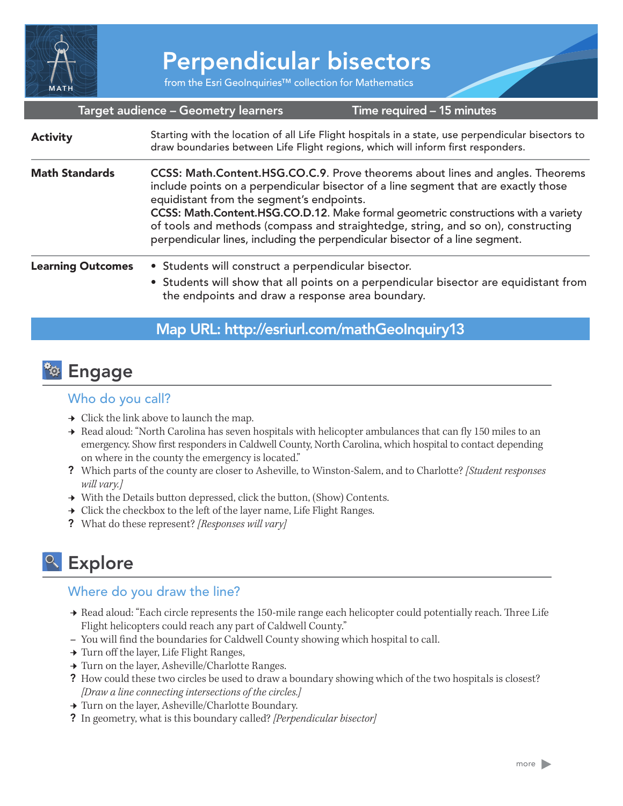

# Perpendicular bisectors

from the Esri GeoInquiries™ collection for Mathematics

#### Target audience – Geometry learners

Time required – 15 minutes

#### Starting with the location of all Life Flight hospitals in a state, use perpendicular bisectors to draw boundaries between Life Flight regions, which will inform first responders. CCSS: Math.Content.HSG.CO.C.9. Prove theorems about lines and angles. Theorems include points on a perpendicular bisector of a line segment that are exactly those equidistant from the segment's endpoints. CCSS: Math.Content.HSG.CO.D.12. Make formal geometric constructions with a variety of tools and methods (compass and straightedge, string, and so on), constructing perpendicular lines, including the perpendicular bisector of a line segment. • Students will construct a perpendicular bisector. • Students will show that all points on a perpendicular bisector are equidistant from the endpoints and draw a response area boundary. Math Standards Learning Outcomes **Activity**

### Map URL: http://esriurl.com/mathGeoInquiry13

# <mark><sup>२</sup>२ Engage</mark>

### Who do you call?

- $\rightarrow$  Click the link above to launch the map.
- → Read aloud: "North Carolina has seven hospitals with helicopter ambulances that can fly 150 miles to an emergency. Show first responders in Caldwell County, North Carolina, which hospital to contact depending on where in the county the emergency is located."
- ? Which parts of the county are closer to Asheville, to Winston-Salem, and to Charlotte? *[Student responses will vary.]*
- → With the Details button depressed, click the button, (Show) Contents.
- $\rightarrow$  Click the checkbox to the left of the layer name, Life Flight Ranges.
- ? What do these represent? *[Responses will vary]*

# <sup>o</sup> Explore

### Where do you draw the line?

- ʅ Read aloud: "Each circle represents the 150-mile range each helicopter could potentially reach. Three Life Flight helicopters could reach any part of Caldwell County."
- **–** You will find the boundaries for Caldwell County showing which hospital to call.
- **→ Turn off the layer, Life Flight Ranges,**
- ʅ Turn on the layer, Asheville/Charlotte Ranges.
- ? How could these two circles be used to draw a boundary showing which of the two hospitals is closest? *[Draw a line connecting intersections of the circles.]*
- ʅ Turn on the layer, Asheville/Charlotte Boundary.
- ? In geometry, what is this boundary called? *[Perpendicular bisector]*